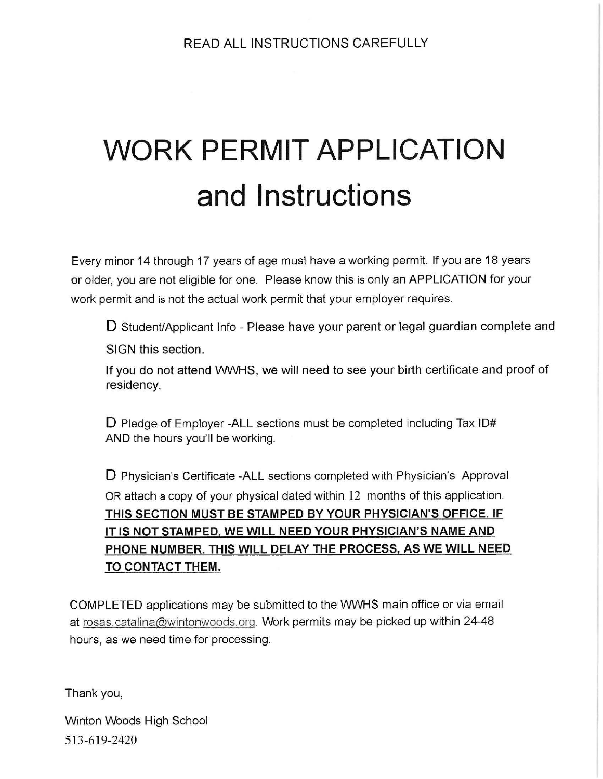## WORK PERMIT APPLICATION and Instructions

Every minor 14 through 17 years of age must have a working permit. If you are 18 years or older, you are not eligible for one. Please know this is only an APPLICATION for your work permit and is not the actual work permit that your employer requires.

D Student/Applicant Info - Please have your parent or legal guardian complete and SIGN this section.

If you do not attend WWHS, we will need to see your birth certificate and proof of residency.

D Pledge of Employer -ALL sections must be completed including Tax ID# AND the hours you'll be working.

D Physician's Certificate -ALL sections completed with Physician's Approval OR attach a copy of your physical dated within 12 months of this application. THIS SECTION MUST BE STAMPED BY YOUR PHYSICIAN'S OFFICE. IF IT IS NOT STAMPED, WE WILL NEED YOUR PHYSICIAN'S NAME AND PHONE NUMBER. THIS WILL DELAY THE PROCESS, AS WE WILL NEED TO CONTACT THEM. The Protocolor Control Control Control Control<br>Tesidency.<br>
D Pledge of Employer -ALL sections n<br>
AND the hours you'll be working.<br>
D Physician's Certificate -ALL sections<br>
OR attach a copy of your physical date<br>
THIS SECTI

COMPLETED applications may be submitted to the WWHS main office or via email at rosas. catalina@wintonwoods.org. Work permits may be picked up within 24-48 hours, as we need time for processing.

Thank you,

Winton Woods High School 513-619-2420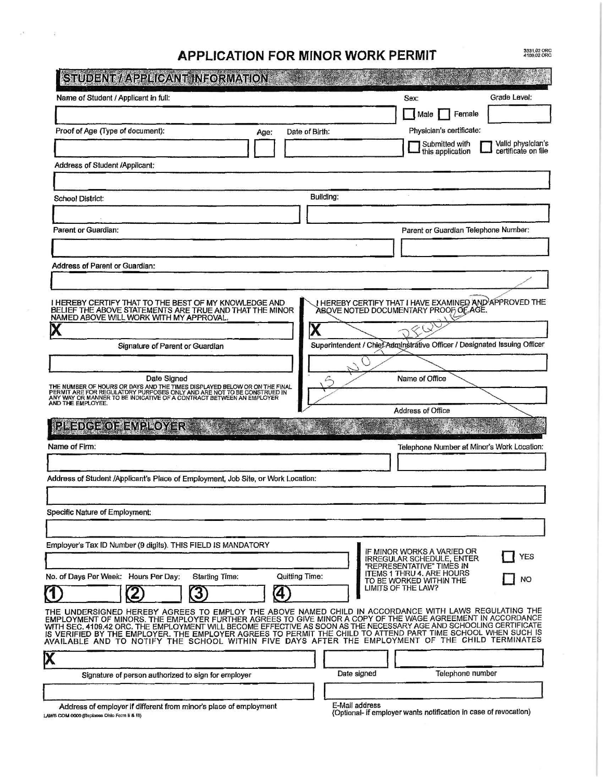|                                                                                                                                                                                                                                                                                                                                           |                         |                                                                                                                                 | 3331,02 ORC<br>4109,02 ORC                 |
|-------------------------------------------------------------------------------------------------------------------------------------------------------------------------------------------------------------------------------------------------------------------------------------------------------------------------------------------|-------------------------|---------------------------------------------------------------------------------------------------------------------------------|--------------------------------------------|
| <b>APPLICATION FOR MINOR WORK PERMIT</b><br>STUDENT / APPLICANT INFORMATION                                                                                                                                                                                                                                                               |                         |                                                                                                                                 |                                            |
| Name of Student / Applicant in full:                                                                                                                                                                                                                                                                                                      |                         | Sex:<br>  Male                                                                                                                  | Grade Level:<br>Female                     |
| Proof of Age (Type of document):<br>Age:                                                                                                                                                                                                                                                                                                  | Date of Birth:          | Physician's certificate:<br>Submitted with<br>this application                                                                  | Valid physician's<br>certificate on file   |
| Address of Student /Applicant:                                                                                                                                                                                                                                                                                                            |                         |                                                                                                                                 |                                            |
| <b>School District:</b>                                                                                                                                                                                                                                                                                                                   | Building:               |                                                                                                                                 |                                            |
| Parent or Guardian:                                                                                                                                                                                                                                                                                                                       |                         |                                                                                                                                 | Parent or Guardian Telephone Number:       |
| Address of Parent or Guardian:                                                                                                                                                                                                                                                                                                            |                         |                                                                                                                                 |                                            |
|                                                                                                                                                                                                                                                                                                                                           |                         |                                                                                                                                 |                                            |
| I HEREBY CERTIFY THAT TO THE BEST OF MY KNOWLEDGE AND BELIEF THE ABOVE STATEMENTS ARE TRUE AND THAT THE MINOR<br>NAMED ABOVE WILL WORK WITH MY APPROVAL.                                                                                                                                                                                  | $\overline{\textbf{X}}$ | J HEREBY CERTIFY THAT I HAVE EXAMINED AND APPROVED THE<br>ABQVE NOTED DOCUMENTARY PROOF OF AGE.                                 |                                            |
| Signature of Parent or Guardian                                                                                                                                                                                                                                                                                                           |                         | Superintendent / Chief Adminstrative Officer / Designated Issuing Officer                                                       |                                            |
| Date Signed<br>THE NUMBER OF HOURS OR DAYS AND THE TIMES DISPLAYED BELOW OR ON THE FINAL<br>PERMIT ARE FOR REGULATORY PURPOSES ONLY AND ARE NOT TO BE CONSTRUED IN<br>ANY WAY OR MANNER TO BE INDICATIVE OF A CONTRACT BETWEEN AN EMPLOYER<br>AND THE                                                                                     | 35                      | Name of Office                                                                                                                  |                                            |
| PLEDGE OF EMPLOYER                                                                                                                                                                                                                                                                                                                        |                         | Address of Office                                                                                                               |                                            |
| Name of Firm:                                                                                                                                                                                                                                                                                                                             |                         |                                                                                                                                 | Telephone Number at Minor's Work Location: |
| Address of Student /Applicant's Place of Employment, Job Site, or Work Location:                                                                                                                                                                                                                                                          |                         |                                                                                                                                 |                                            |
| Specific Nature of Employment:                                                                                                                                                                                                                                                                                                            |                         |                                                                                                                                 |                                            |
| Employer's Tax ID Number (9 digits). THIS FIELD IS MANDATORY                                                                                                                                                                                                                                                                              |                         |                                                                                                                                 |                                            |
|                                                                                                                                                                                                                                                                                                                                           |                         | IF MINOR WORKS A VARIED OR<br><b>IRREGULAR SCHEDULE, ENTER</b><br>"REPRESENTATIVE" TIMES IN<br><b>ITEMS 1 THRU 4. ARE HOURS</b> | <b>YES</b>                                 |
|                                                                                                                                                                                                                                                                                                                                           |                         |                                                                                                                                 |                                            |
| <b>Starting Time:</b><br>$\mathbf{\overline{3}}$<br>2<br>$\left( 4\right)$                                                                                                                                                                                                                                                                | <b>Quitting Time:</b>   | TO BE WORKED WITHIN THE<br>LIMITS OF THE LAW?                                                                                   | <b>NO</b>                                  |
| No. of Days Per Week: Hours Per Day:<br>$\textcircled{1}$<br>THE UNDERSIGNED HEREBY AGREES TO EMPLOY THE ABOVE NAMED CHILD IN ACCORDANCE WITH LAWS REGULATING THE EMPLOYER TURE TO THE HARD AGREEMENT IN ACCORDANCE<br>WITH SEC. 4109.42 ORC. THE EMPLOYMENT WILL BECOME EFFECTIVE AS SOON AS THE NECESSARY AGE AND SCHOOLING CERTIFICATE |                         |                                                                                                                                 |                                            |
| IS VERIFIED BY THE EMPLOYER. THE EMPLOYER AGREES TO PERMIT THE CHILD TO ATTEND PART TIME SCHOOL WHEN SUCH IS                                                                                                                                                                                                                              |                         |                                                                                                                                 |                                            |

| Date signed | <b>IGICNIONG</b> |
|-------------|------------------|
|             |                  |
|             |                  |

Address of employer if different from minor's place of employment E-Mail address Address of criphoyer in different from infinition of place of employer.<br>(Optional- if employer wants notification in case of revocation)<br>(Optional- if employer wants notification in case of revocation)

 $\mathcal{F}$